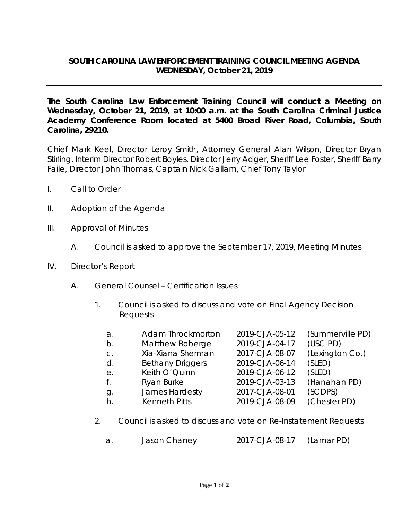## **SOUTH CAROLINA LAW ENFORCEMENT TRAINING COUNCIL MEETING AGENDA WEDNESDAY, October 21, 2019**

**The South Carolina Law Enforcement Training Council will conduct a Meeting on Wednesday, October 21, 2019, at 10:00 a.m. at the South Carolina Criminal Justice Academy Conference Room located at 5400 Broad River Road, Columbia, South Carolina, 29210.** 

Chief Mark Keel, Director Leroy Smith, Attorney General Alan Wilson, Director Bryan Stirling, Interim Director Robert Boyles, Director Jerry Adger, Sheriff Lee Foster, Sheriff Barry Faile, Director John Thomas, Captain Nick Gallam, Chief Tony Taylor

- I. Call to Order
- II. Adoption of the Agenda
- III. Approval of Minutes
	- A. Council is asked to approve the September 17, 2019, Meeting Minutes
- IV. Director's Report
	- A. General Counsel Certification Issues
		- 1. Council is asked to discuss and vote on Final Agency Decision Requests

| a.             | <b>Adam Throckmorton</b> | 2019-CJA-05-12 | (Summerville PD) |
|----------------|--------------------------|----------------|------------------|
| b.             | Matthew Roberge          | 2019-CJA-04-17 | (USC PD)         |
| $\mathsf{C}$ . | Xia-Xiana Sherman        | 2017-CJA-08-07 | (Lexington Co.)  |
| d.             | <b>Bethany Driggers</b>  | 2019-CJA-06-14 | (SLED)           |
| е.             | Keith O'Quinn            | 2019-CJA-06-12 | (SLED)           |
| f.             | Ryan Burke               | 2019-CJA-03-13 | (Hanahan PD)     |
| g.             | James Hardesty           | 2017-CJA-08-01 | (SCDPS)          |
| h.             | <b>Kenneth Pitts</b>     | 2019-CJA-08-09 | (Chester PD)     |
|                |                          |                |                  |

- 2. Council is asked to discuss and vote on Re-Instatement Requests
	- a. Jason Chaney 2017-CJA-08-17 (Lamar PD)